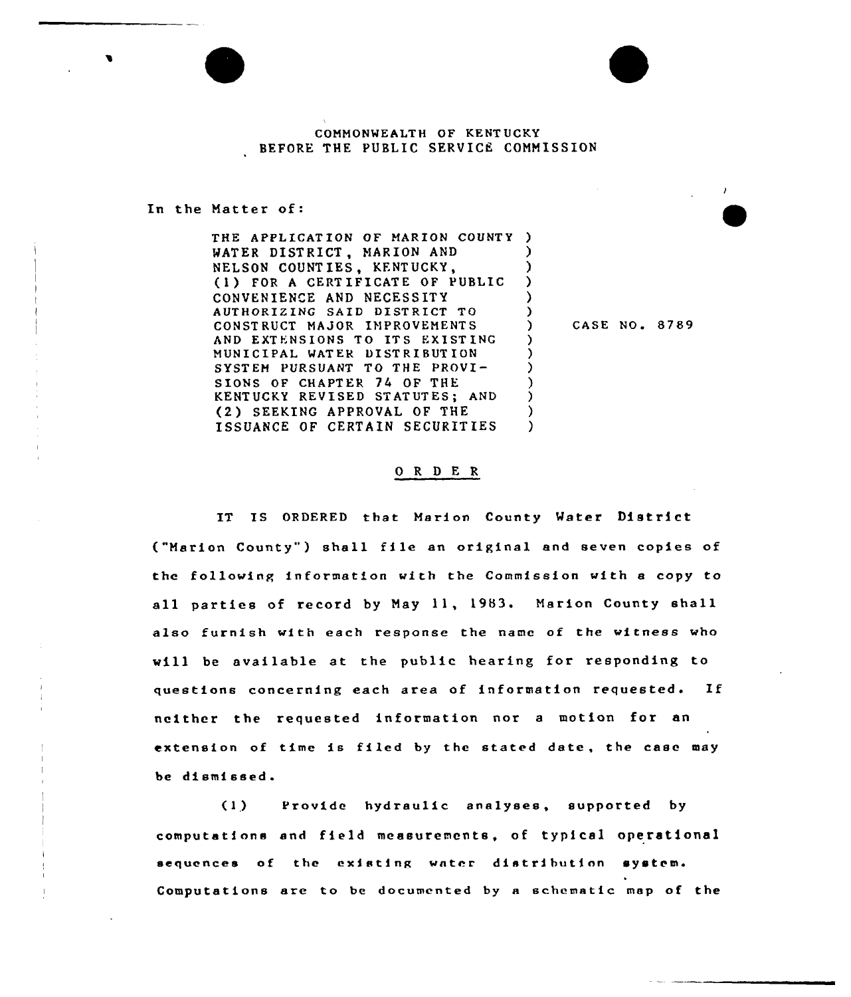## COMMONWEALTH OF KENTUCKY BEFORE THE PUBLIC SERVICE COMMISSION

In the Matter of

THE APPLICATION OF MARION COUNTY ) WATER DISTRICT, MARION AND NELSON COUNTIES, KENTUCKY, (1) FOR <sup>A</sup> CERTIFICATE OF PUBLIC CONVENIENCE AND NECESSITY AUTHORIZING SAID DISTRICT TO CONST RUCT MA JOR IMPROVEMENT S AND EXTENSIONS TO ITS EXIST INC MUNICIPAL WATEk DISTRIBUTION SYSTEM PURSUANT TO THE PROVI-SIONS OF CHAPTER 74 OF THE KENTUCKY REVISED STATUTES; AND (2 ) SEEKING APPROVAL OF THE ISSUANCE OF CERTAIN SECURITIES

) CASE NO. 8789

) ) ) ) )

) ) ) ) ) ) )

## 0 <sup>R</sup> <sup>D</sup> E R

IT IS ORDERED that Marion County Water District ("Marion County") shall file an original and seven copies of the following information with the Commission with a copy to all parties of record by May 11, 1983. Marion County shall also furnish with each response the name of the witness who will be available at the public hearing for responding to questions concerning each area of information requested. If neither the requested information nor <sup>a</sup> motion for an extension of time is filed by the stated date, the case may be dismissed.

 $(1)$ Provide hydraulic analyses, supported by computations and field measuremcnts, of typical operational sequences of the existing water distribution system. Computations are to be documented by a schematic map of the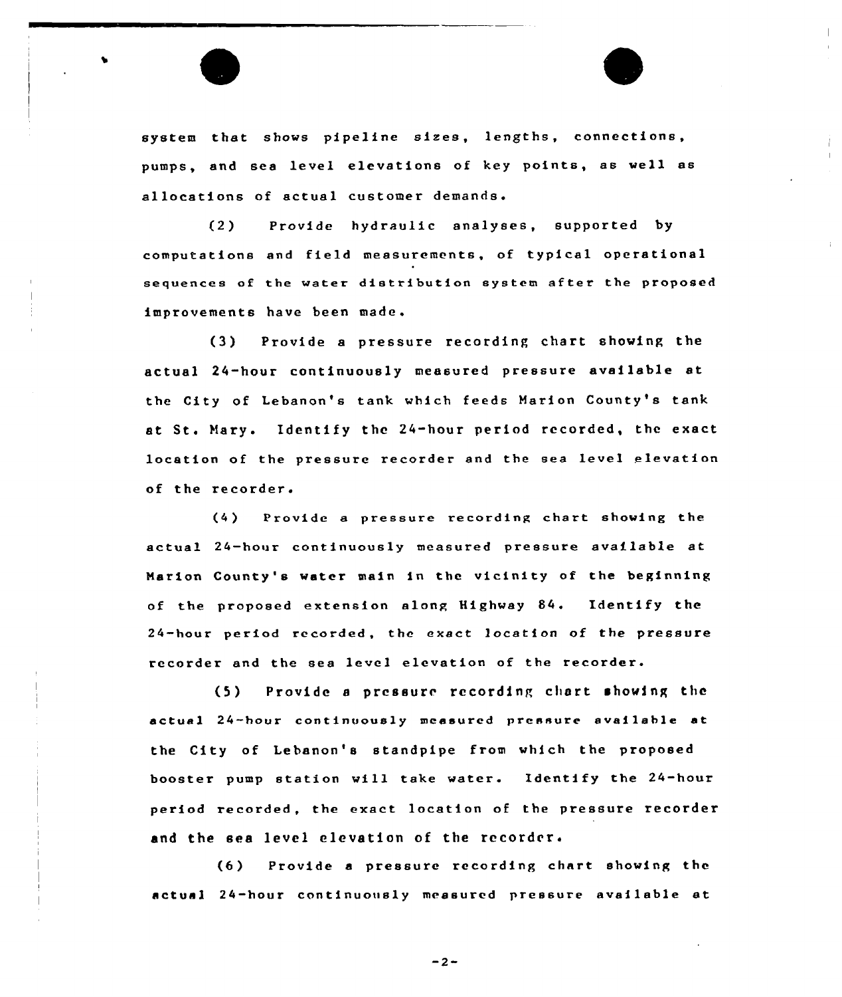system that shows pipeline sizes, lengths, connections, pumps, and sea level elevations of key points, as well as allocations of actual customer demands.

Provide hydraulic analyses, supported by  $(2)$ computations snd field measurements, of typical operational sequences of the water distribution system after the proposed improvements have been made.

(3) Provide <sup>a</sup> pressure recording chart showing the actual 24-hour continuously measured pressure available at the City of Lebanon's tank which feeds Marion County's tank at St. Nary. Identify the 24-hour period recorded, the exact location of the pressure recorder snd the sea level elevation of the recorder.

(4) Provide a pressure recording chart showing the actual 24-hour continuously measured pressure available at Marion County's water main in the vicinity of the beginning of the proposed extension along Highway 84. Identify the 24-hour period recorded, the exact location of the pressure recorder and the sea level elevation of the recorder.

(5) Provide <sup>a</sup> prcssure recording chart showing the actual 24-hour continuously measured pressure available at the City of Lebanon's standpipe from which the proposed booster pump station will take water. Identify the 24-hour period recorded, the exact location of the pressure recorder and the sea level elevation of the recorder.

(6) Provide <sup>a</sup> pressure recording chart showing the actual 24-hour continuously measured pressure available at

 $-2-$